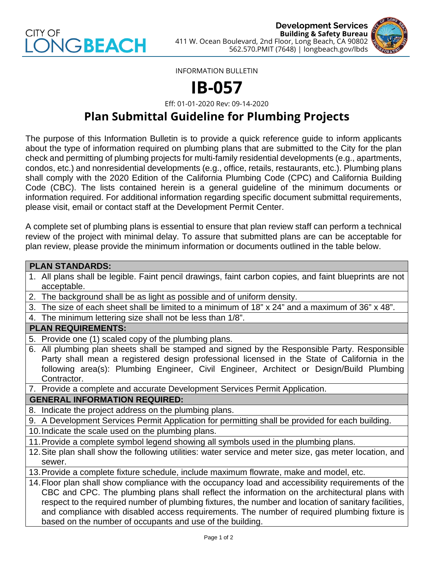



INFORMATION BULLETIN

# **IB-057**

Eff: 01-01-2020 Rev: 09-14-2020

# **Plan Submittal Guideline for Plumbing Projects**

The purpose of this Information Bulletin is to provide a quick reference guide to inform applicants about the type of information required on plumbing plans that are submitted to the City for the plan check and permitting of plumbing projects for multi-family residential developments (e.g., apartments, condos, etc.) and nonresidential developments (e.g., office, retails, restaurants, etc.). Plumbing plans shall comply with the 2020 Edition of the California Plumbing Code (CPC) and California Building Code (CBC). The lists contained herein is a general guideline of the minimum documents or information required. For additional information regarding specific document submittal requirements, please visit, email or contact staff at the Development Permit Center.

A complete set of plumbing plans is essential to ensure that plan review staff can perform a technical review of the project with minimal delay. To assure that submitted plans are can be acceptable for plan review, please provide the minimum information or documents outlined in the table below.

# **PLAN STANDARDS:** 1. All plans shall be legible. Faint pencil drawings, faint carbon copies, and faint blueprints are not acceptable.

- 2. The background shall be as light as possible and of uniform density.
- 3. The size of each sheet shall be limited to a minimum of 18" x 24" and a maximum of 36" x 48".
- 4. The minimum lettering size shall not be less than 1/8".

# **PLAN REQUIREMENTS:**

- 5. Provide one (1) scaled copy of the plumbing plans.
- 6. All plumbing plan sheets shall be stamped and signed by the Responsible Party. Responsible Party shall mean a registered design professional licensed in the State of California in the following area(s): Plumbing Engineer, Civil Engineer, Architect or Design/Build Plumbing Contractor.
- 7. Provide a complete and accurate Development Services Permit Application.

# **GENERAL INFORMATION REQUIRED:**

- 8. Indicate the project address on the plumbing plans.
- 9. A Development Services Permit Application for permitting shall be provided for each building.
- 10.Indicate the scale used on the plumbing plans.
- 11.Provide a complete symbol legend showing all symbols used in the plumbing plans.
- 12.Site plan shall show the following utilities: water service and meter size, gas meter location, and sewer.
- 13.Provide a complete fixture schedule, include maximum flowrate, make and model, etc.
- 14.Floor plan shall show compliance with the occupancy load and accessibility requirements of the CBC and CPC. The plumbing plans shall reflect the information on the architectural plans with respect to the required number of plumbing fixtures, the number and location of sanitary facilities, and compliance with disabled access requirements. The number of required plumbing fixture is based on the number of occupants and use of the building.